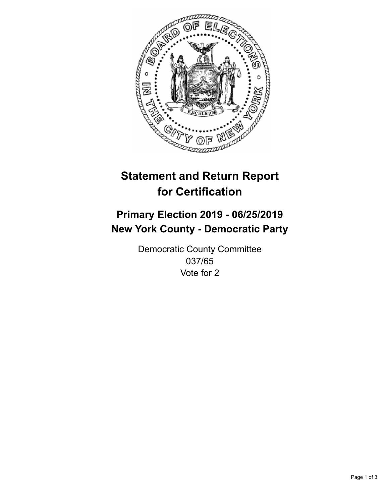

## **Statement and Return Report for Certification**

## **Primary Election 2019 - 06/25/2019 New York County - Democratic Party**

Democratic County Committee 037/65 Vote for 2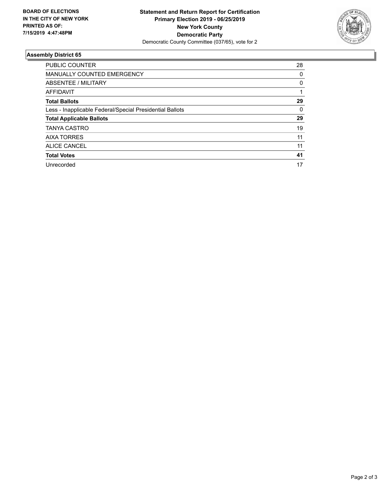

## **Assembly District 65**

| <b>PUBLIC COUNTER</b>                                    | 28 |
|----------------------------------------------------------|----|
| <b>MANUALLY COUNTED EMERGENCY</b>                        | 0  |
| ABSENTEE / MILITARY                                      | 0  |
| AFFIDAVIT                                                |    |
| <b>Total Ballots</b>                                     | 29 |
| Less - Inapplicable Federal/Special Presidential Ballots | 0  |
| <b>Total Applicable Ballots</b>                          | 29 |
| <b>TANYA CASTRO</b>                                      | 19 |
| <b>AIXA TORRES</b>                                       | 11 |
| ALICE CANCEL                                             | 11 |
| <b>Total Votes</b>                                       | 41 |
| Unrecorded                                               | 17 |